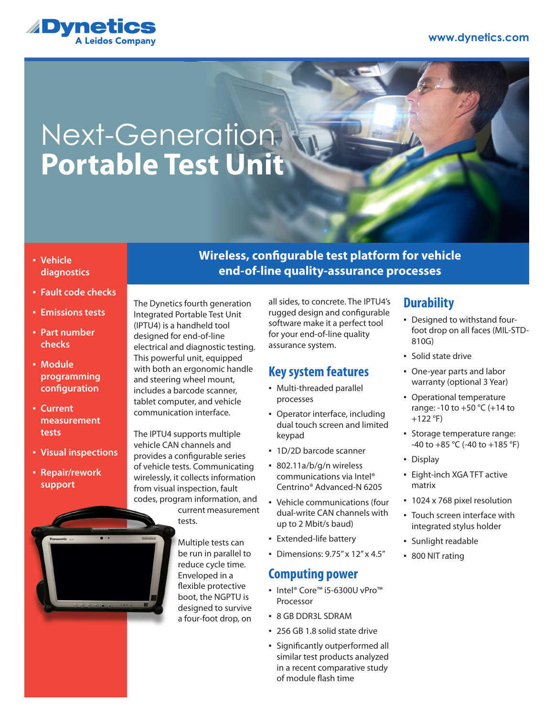

## Next-Generation **Portable Test Unit**

- **Vehicle diagnostics**
- **Fault code checks**
- **Emissions tests**
- **Part number checks**
- **Module programming configuration**
- **Current measurement tests**
- **Visual inspections**
- **Repair/rework support**



**Wireless, configurable test platform for vehicle end-of-line quality-assurance processes**

The Dynetics fourth generation Integrated Portable Test Unit (IPTU4) is a handheld tool designed for end-of-line electrical and diagnostic testing. This powerful unit, equipped with both an ergonomic handle and steering wheel mount, includes a barcode scanner, tablet computer, and vehicle communication interface.

The IPTU4 supports multiple vehicle CAN channels and provides a configurable series of vehicle tests. Communicating wirelessly, it collects information from visual inspection, fault codes, program information, and current measurement

tests.

Multiple tests can be run in parallel to reduce cycle time. Enveloped in a flexible protective boot, the NGPTU is designed to survive a four-foot drop, on

all sides, to concrete. The IPTU4's rugged design and configurable software make it a perfect tool for your end-of-line quality assurance system.

#### **Key system features**

- Multi-threaded parallel processes
- Operator interface, including dual touch screen and limited keypad
- 1D/2D barcode scanner
- 802.11a/b/g/n wireless communications via Intel® Centrino® Advanced-N 6205
- Vehicle communications (four dual-write CAN channels with up to 2 Mbit/s baud)
- **Extended-life battery**
- Dimensions: 9.75" x 12" x 4.5"

### **Computing power**

- Intel® Core™ i5-6300U vPro™ Processor
- 8 GB DDR3L SDRAM
- 256 GB 1.8 solid state drive
- Significantly outperformed all similar test products analyzed in a recent comparative study of module flash time

#### **Durability**

- Designed to withstand fourfoot drop on all faces (MIL-STD-810G)
- Solid state drive
- One-year parts and labor warranty (optional 3 Year)
- Operational temperature range: -10 to +50 °C (+14 to  $+122$  °F)
- Storage temperature range:  $-40$  to  $+85$  °C ( $-40$  to  $+185$  °F)
- Display
- **Eight-inch XGA TFT active** matrix
- **1024 x 768 pixel resolution**
- Touch screen interface with integrated stylus holder
- Sunlight readable
- 800 NIT rating